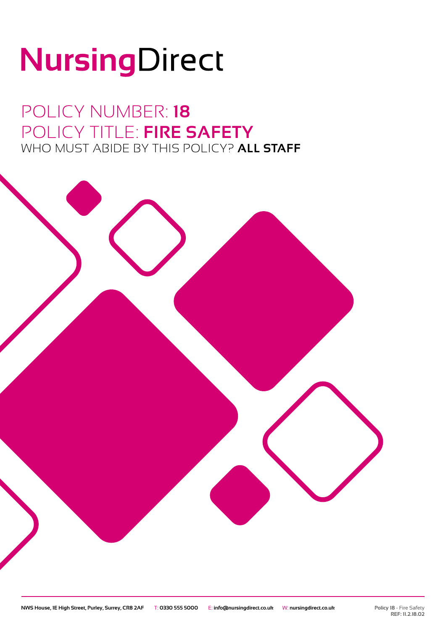# NursingDirect

POLICY NUMBER: **18** POLICY TITLE: **FIRE SAFETY** WHO MUST ABIDE BY THIS POLICY? **ALL STAFF**